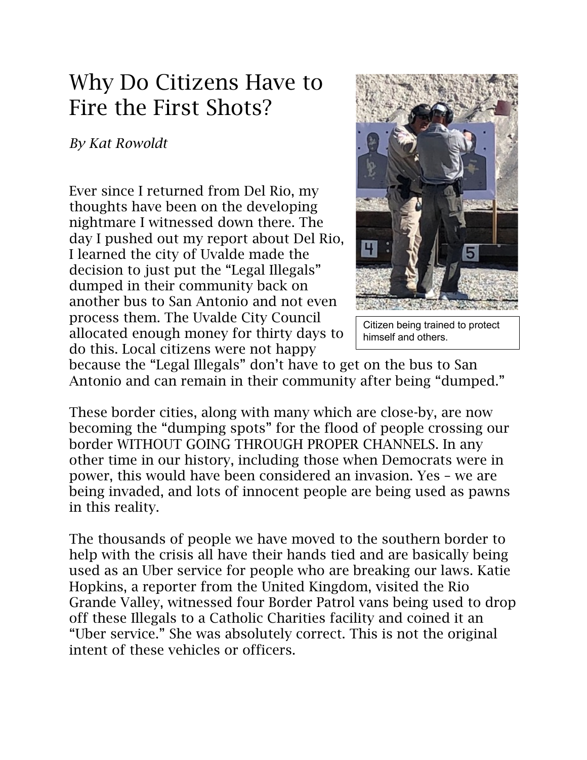## Why Do Citizens Have to Fire the First Shots?

## *By Kat Rowoldt*

Ever since I returned from Del Rio, my thoughts have been on the developing nightmare I witnessed down there. The day I pushed out my report about Del Rio, I learned the city of Uvalde made the decision to just put the "Legal Illegals" dumped in their community back on another bus to San Antonio and not even process them. The Uvalde City Council allocated enough money for thirty days to do this. Local citizens were not happy



Citizen being trained to protect himself and others.

because the "Legal Illegals" don't have to get on the bus to San Antonio and can remain in their community after being "dumped."

These border cities, along with many which are close-by, are now becoming the "dumping spots" for the flood of people crossing our border WITHOUT GOING THROUGH PROPER CHANNELS. In any other time in our history, including those when Democrats were in power, this would have been considered an invasion. Yes – we are being invaded, and lots of innocent people are being used as pawns in this reality.

The thousands of people we have moved to the southern border to help with the crisis all have their hands tied and are basically being used as an Uber service for people who are breaking our laws. Katie Hopkins, a reporter from the United Kingdom, visited the Rio Grande Valley, witnessed four Border Patrol vans being used to drop off these Illegals to a Catholic Charities facility and coined it an "Uber service." She was absolutely correct. This is not the original intent of these vehicles or officers.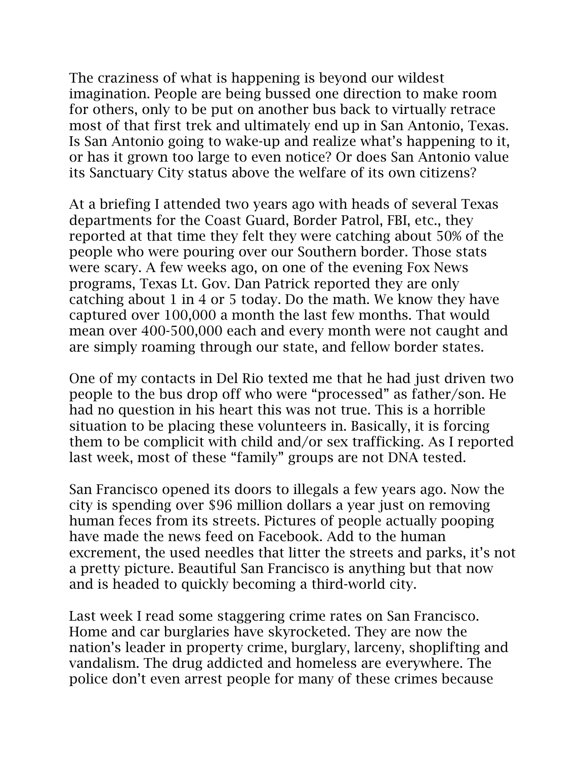The craziness of what is happening is beyond our wildest imagination. People are being bussed one direction to make room for others, only to be put on another bus back to virtually retrace most of that first trek and ultimately end up in San Antonio, Texas. Is San Antonio going to wake-up and realize what's happening to it, or has it grown too large to even notice? Or does San Antonio value its Sanctuary City status above the welfare of its own citizens?

At a briefing I attended two years ago with heads of several Texas departments for the Coast Guard, Border Patrol, FBI, etc., they reported at that time they felt they were catching about 50% of the people who were pouring over our Southern border. Those stats were scary. A few weeks ago, on one of the evening Fox News programs, Texas Lt. Gov. Dan Patrick reported they are only catching about 1 in 4 or 5 today. Do the math. We know they have captured over 100,000 a month the last few months. That would mean over 400-500,000 each and every month were not caught and are simply roaming through our state, and fellow border states.

One of my contacts in Del Rio texted me that he had just driven two people to the bus drop off who were "processed" as father/son. He had no question in his heart this was not true. This is a horrible situation to be placing these volunteers in. Basically, it is forcing them to be complicit with child and/or sex trafficking. As I reported last week, most of these "family" groups are not DNA tested.

San Francisco opened its doors to illegals a few years ago. Now the city is spending over \$96 million dollars a year just on removing human feces from its streets. Pictures of people actually pooping have made the news feed on Facebook. Add to the human excrement, the used needles that litter the streets and parks, it's not a pretty picture. Beautiful San Francisco is anything but that now and is headed to quickly becoming a third-world city.

Last week I read some staggering crime rates on San Francisco. Home and car burglaries have skyrocketed. They are now the nation's leader in property crime, burglary, larceny, shoplifting and vandalism. The drug addicted and homeless are everywhere. The police don't even arrest people for many of these crimes because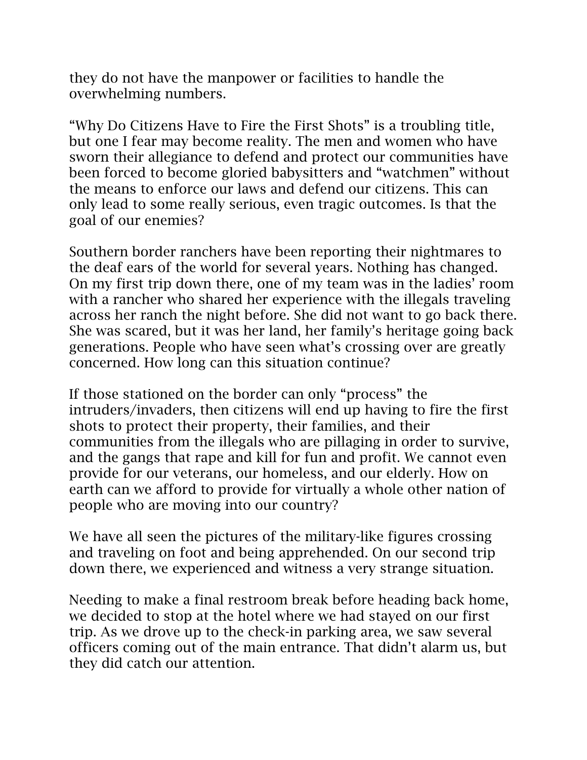they do not have the manpower or facilities to handle the overwhelming numbers.

"Why Do Citizens Have to Fire the First Shots" is a troubling title, but one I fear may become reality. The men and women who have sworn their allegiance to defend and protect our communities have been forced to become gloried babysitters and "watchmen" without the means to enforce our laws and defend our citizens. This can only lead to some really serious, even tragic outcomes. Is that the goal of our enemies?

Southern border ranchers have been reporting their nightmares to the deaf ears of the world for several years. Nothing has changed. On my first trip down there, one of my team was in the ladies' room with a rancher who shared her experience with the illegals traveling across her ranch the night before. She did not want to go back there. She was scared, but it was her land, her family's heritage going back generations. People who have seen what's crossing over are greatly concerned. How long can this situation continue?

If those stationed on the border can only "process" the intruders/invaders, then citizens will end up having to fire the first shots to protect their property, their families, and their communities from the illegals who are pillaging in order to survive, and the gangs that rape and kill for fun and profit. We cannot even provide for our veterans, our homeless, and our elderly. How on earth can we afford to provide for virtually a whole other nation of people who are moving into our country?

We have all seen the pictures of the military-like figures crossing and traveling on foot and being apprehended. On our second trip down there, we experienced and witness a very strange situation.

Needing to make a final restroom break before heading back home, we decided to stop at the hotel where we had stayed on our first trip. As we drove up to the check-in parking area, we saw several officers coming out of the main entrance. That didn't alarm us, but they did catch our attention.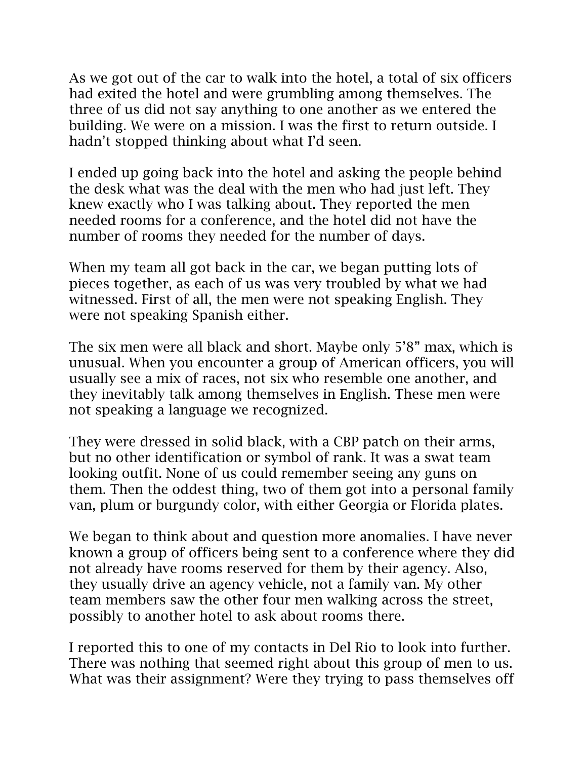As we got out of the car to walk into the hotel, a total of six officers had exited the hotel and were grumbling among themselves. The three of us did not say anything to one another as we entered the building. We were on a mission. I was the first to return outside. I hadn't stopped thinking about what I'd seen.

I ended up going back into the hotel and asking the people behind the desk what was the deal with the men who had just left. They knew exactly who I was talking about. They reported the men needed rooms for a conference, and the hotel did not have the number of rooms they needed for the number of days.

When my team all got back in the car, we began putting lots of pieces together, as each of us was very troubled by what we had witnessed. First of all, the men were not speaking English. They were not speaking Spanish either.

The six men were all black and short. Maybe only 5'8" max, which is unusual. When you encounter a group of American officers, you will usually see a mix of races, not six who resemble one another, and they inevitably talk among themselves in English. These men were not speaking a language we recognized.

They were dressed in solid black, with a CBP patch on their arms, but no other identification or symbol of rank. It was a swat team looking outfit. None of us could remember seeing any guns on them. Then the oddest thing, two of them got into a personal family van, plum or burgundy color, with either Georgia or Florida plates.

We began to think about and question more anomalies. I have never known a group of officers being sent to a conference where they did not already have rooms reserved for them by their agency. Also, they usually drive an agency vehicle, not a family van. My other team members saw the other four men walking across the street, possibly to another hotel to ask about rooms there.

I reported this to one of my contacts in Del Rio to look into further. There was nothing that seemed right about this group of men to us. What was their assignment? Were they trying to pass themselves off